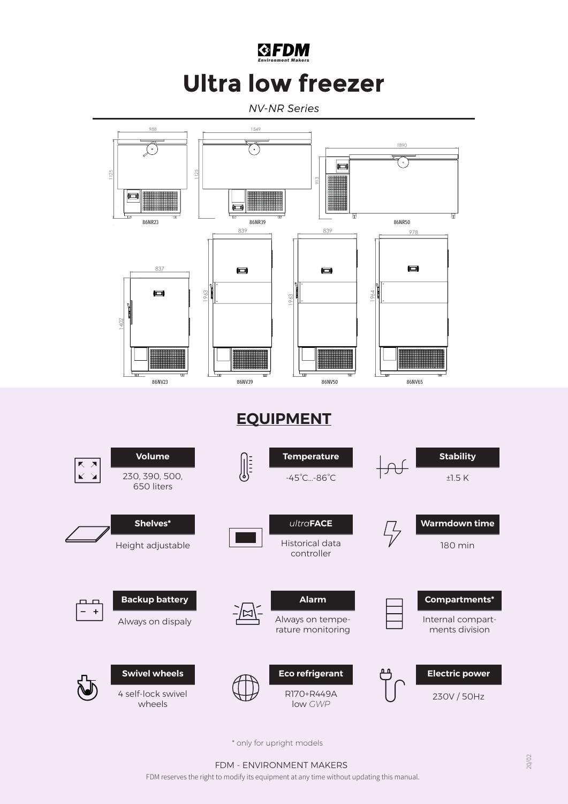## *Environment Makers* **Ultra low freezer**

*NV-NR Series*



\* only for upright models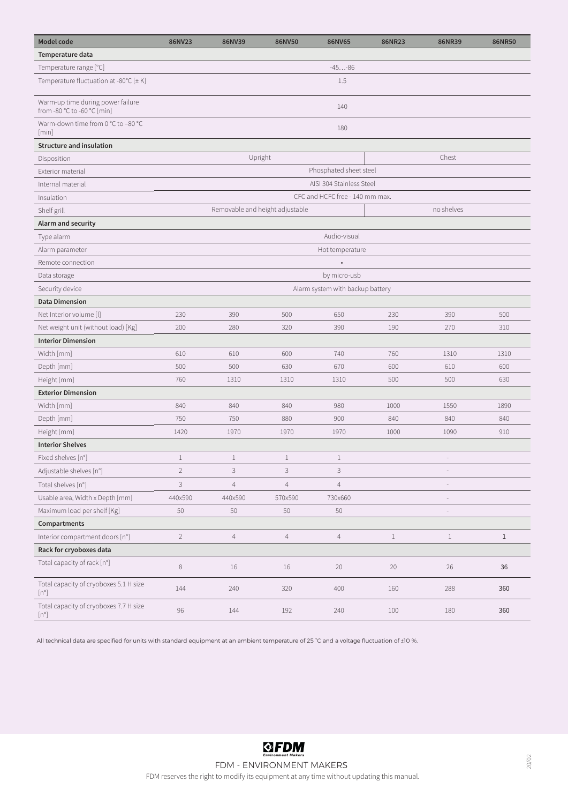| Model code                                                       | 86NV23                                        | 86NV39         | 86NV50         | 86NV65                           | 86NR23 | 86NR39                       | 86NR50 |  |  |  |
|------------------------------------------------------------------|-----------------------------------------------|----------------|----------------|----------------------------------|--------|------------------------------|--------|--|--|--|
| Temperature data                                                 |                                               |                |                |                                  |        |                              |        |  |  |  |
| Temperature range [°C]                                           | $-45-86$                                      |                |                |                                  |        |                              |        |  |  |  |
| Temperature fluctuation at -80°C [± K]                           | 1.5                                           |                |                |                                  |        |                              |        |  |  |  |
| Warm-up time during power failure<br>from -80 °C to -60 °C [min] |                                               |                |                | 140                              |        |                              |        |  |  |  |
| Warm-down time from 0 °C to -80 °C<br>[min]                      |                                               |                |                | 180                              |        |                              |        |  |  |  |
| <b>Structure and insulation</b>                                  |                                               |                |                |                                  |        |                              |        |  |  |  |
| Disposition                                                      |                                               |                | Upright        |                                  |        | Chest                        |        |  |  |  |
| Exterior material                                                | Phosphated sheet steel                        |                |                |                                  |        |                              |        |  |  |  |
| Internal material                                                | AISI 304 Stainless Steel                      |                |                |                                  |        |                              |        |  |  |  |
| Insulation                                                       | CFC and HCFC free - 140 mm max.               |                |                |                                  |        |                              |        |  |  |  |
| Shelf grill                                                      | Removable and height adjustable<br>no shelves |                |                |                                  |        |                              |        |  |  |  |
| <b>Alarm and security</b>                                        |                                               |                |                |                                  |        |                              |        |  |  |  |
| Type alarm                                                       | Audio-visual                                  |                |                |                                  |        |                              |        |  |  |  |
| Alarm parameter                                                  | Hot temperature                               |                |                |                                  |        |                              |        |  |  |  |
| Remote connection                                                | $\bullet$                                     |                |                |                                  |        |                              |        |  |  |  |
| Data storage                                                     | by micro-usb                                  |                |                |                                  |        |                              |        |  |  |  |
| Security device                                                  |                                               |                |                | Alarm system with backup battery |        |                              |        |  |  |  |
| <b>Data Dimension</b>                                            |                                               |                |                |                                  |        |                              |        |  |  |  |
| Net Interior volume [l]                                          | 230                                           | 390            | 500            | 650                              | 230    | 390                          | 500    |  |  |  |
| Net weight unit (without load) [Kg]                              | 200                                           | 280            | 320            | 390                              | 190    | 270                          | 310    |  |  |  |
| <b>Interior Dimension</b>                                        |                                               |                |                |                                  |        |                              |        |  |  |  |
| Width [mm]                                                       | 610                                           | 610            | 600            | 740                              | 760    | 1310                         | 1310   |  |  |  |
| Depth [mm]                                                       | 500                                           | 500            | 630            | 670                              | 600    | 610                          | 600    |  |  |  |
| Height [mm]                                                      | 760                                           | 1310           | 1310           | 1310                             | 500    | 500                          | 630    |  |  |  |
| <b>Exterior Dimension</b>                                        |                                               |                |                |                                  |        |                              |        |  |  |  |
| Width [mm]                                                       | 840                                           | 840            | 840            | 980                              | 1000   | 1550                         | 1890   |  |  |  |
| Depth [mm]                                                       | 750                                           | 750            | 880            | 900                              | 840    | 840                          | 840    |  |  |  |
| Height [mm]                                                      | 1420                                          | 1970           | 1970           | 1970                             | 1000   | 1090                         | 910    |  |  |  |
| <b>Interior Shelves</b>                                          |                                               |                |                |                                  |        |                              |        |  |  |  |
| Fixed shelves [n°]                                               | $\,1$                                         | $\,1$          | $\,1$          | $\mathbf 1$                      |        | $\qquad \qquad \blacksquare$ |        |  |  |  |
| Adjustable shelves [n°]                                          | $\overline{2}$                                | 3              | $\mathsf{3}$   | 3                                |        |                              |        |  |  |  |
| Total shelves [n°]                                               | 3                                             | $\overline{4}$ | $\overline{4}$ | $\overline{4}$                   |        |                              |        |  |  |  |
| Usable area, Width x Depth [mm]                                  | 440×590                                       | 440×590        | 570×590        | 730×660                          |        | $\frac{1}{2}$                |        |  |  |  |
| Maximum load per shelf [Kg]                                      | 50                                            | 50             | $50\,$         | 50                               |        | i,                           |        |  |  |  |
| Compartments                                                     |                                               |                |                |                                  |        |                              |        |  |  |  |
| Interior compartment doors [n°]                                  | $\overline{2}$                                | $\overline{4}$ | $\overline{4}$ | $\overline{4}$                   | $\,1$  | $1\,$                        | $1\,$  |  |  |  |
| Rack for cryoboxes data                                          |                                               |                |                |                                  |        |                              |        |  |  |  |
| Total capacity of rack [n°]                                      | $\,8\,$                                       | $16\,$         | 16             | 20                               | $20\,$ | 26                           | 36     |  |  |  |
| Total capacity of cryoboxes 5.1 H size<br>$[n^{\circ}]$          | 144                                           | 240            | 320            | 400                              | 160    | 288                          | 360    |  |  |  |
| Total capacity of cryoboxes 7.7 H size<br>$[n^{\circ}]$          | $96\,$                                        | 144            | 192            | 240                              | 100    | 180                          | 360    |  |  |  |

All technical data are specified for units with standard equipment at an ambient temperature of 25 °C and a voltage fluctuation of ±10 %.



FDM - ENVIRONMENT MAKERS FDM reserves the right to modify its equipment at any time without updating this manual.